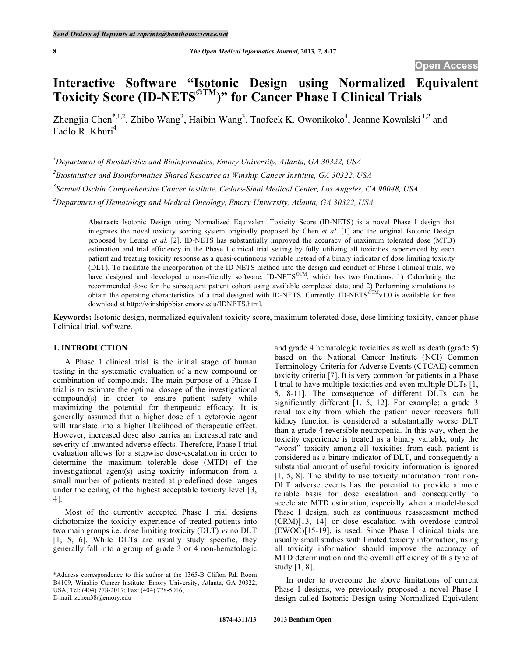# **Interactive Software "Isotonic Design using Normalized Equivalent Toxicity Score (ID-NETS©TM)" for Cancer Phase I Clinical Trials**

Zhengjia Chen<sup>\*,1,2</sup>, Zhibo Wang<sup>2</sup>, Haibin Wang<sup>3</sup>, Taofeek K. Owonikoko<sup>4</sup>, Jeanne Kowalski<sup>1,2</sup> and Fadlo R. Khuri<sup>4</sup>

*1 Department of Biostatistics and Bioinformatics, Emory University, Atlanta, GA 30322, USA* 

*2 Biostatistics and Bioinformatics Shared Resource at Winship Cancer Institute, GA 30322, USA* 

*3 Samuel Oschin Comprehensive Cancer Institute, Cedars-Sinai Medical Center, Los Angeles, CA 90048, USA* 

*4 Department of Hematology and Medical Oncology, Emory University, Atlanta, GA 30322, USA* 

**Abstract:** Isotonic Design using Normalized Equivalent Toxicity Score (ID-NETS) is a novel Phase I design that integrates the novel toxicity scoring system originally proposed by Chen *et al*. [1] and the original Isotonic Design proposed by Leung *et al*. [2]. ID-NETS has substantially improved the accuracy of maximum tolerated dose (MTD) estimation and trial efficiency in the Phase I clinical trial setting by fully utilizing all toxicities experienced by each patient and treating toxicity response as a quasi-continuous variable instead of a binary indicator of dose limiting toxicity (DLT). To facilitate the incorporation of the ID-NETS method into the design and conduct of Phase I clinical trials, we have designed and developed a user-friendly software, ID-NETS<sup>©TM</sup>, which has two functions: 1) Calculating the recommended dose for the subsequent patient cohort using available completed data; and 2) Performing simulations to obtain the operating characteristics of a trial designed with ID-NETS. Currently, ID-NETS<sup>©TM</sup>v1.0 is available for free download at http://winshipbbisr.emory.edu/IDNETS.html.

**Keywords:** Isotonic design, normalized equivalent toxicity score, maximum tolerated dose, dose limiting toxicity, cancer phase I clinical trial, software.

## **1. INTRODUCTION**

 A Phase I clinical trial is the initial stage of human testing in the systematic evaluation of a new compound or combination of compounds. The main purpose of a Phase I trial is to estimate the optimal dosage of the investigational compound(s) in order to ensure patient safety while maximizing the potential for therapeutic efficacy. It is generally assumed that a higher dose of a cytotoxic agent will translate into a higher likelihood of therapeutic effect. However, increased dose also carries an increased rate and severity of unwanted adverse effects. Therefore, Phase I trial evaluation allows for a stepwise dose-escalation in order to determine the maximum tolerable dose (MTD) of the investigational agent(s) using toxicity information from a small number of patients treated at predefined dose ranges under the ceiling of the highest acceptable toxicity level [3, 4].

 Most of the currently accepted Phase I trial designs dichotomize the toxicity experience of treated patients into two main groups i.e. dose limiting toxicity (DLT) *vs* no DLT [1, 5, 6]. While DLTs are usually study specific, they generally fall into a group of grade 3 or 4 non-hematologic and grade 4 hematologic toxicities as well as death (grade 5) based on the National Cancer Institute (NCI) Common Terminology Criteria for Adverse Events (CTCAE) common toxicity criteria [7]. It is very common for patients in a Phase I trial to have multiple toxicities and even multiple DLTs [1, 5, 8-11]. The consequence of different DLTs can be significantly different [1, 5, 12]. For example: a grade 3 renal toxicity from which the patient never recovers full kidney function is considered a substantially worse DLT than a grade 4 reversible neutropenia. In this way, when the toxicity experience is treated as a binary variable, only the "worst" toxicity among all toxicities from each patient is considered as a binary indicator of DLT, and consequently a substantial amount of useful toxicity information is ignored [1, 5, 8]. The ability to use toxicity information from non-DLT adverse events has the potential to provide a more reliable basis for dose escalation and consequently to accelerate MTD estimation, especially when a model-based Phase I design, such as continuous reassessment method (CRM)[13, 14] or dose escalation with overdose control (EWOC)[15-19], is used. Since Phase I clinical trials are usually small studies with limited toxicity information, using all toxicity information should improve the accuracy of MTD determination and the overall efficiency of this type of study [1, 8].

 In order to overcome the above limitations of current Phase I designs, we previously proposed a novel Phase I design called Isotonic Design using Normalized Equivalent

<sup>\*</sup>Address correspondence to this author at the 1365-B Clifton Rd, Room B4109, Winship Cancer Institute, Emory University, Atlanta, GA 30322, USA; Tel: (404) 778-2017; Fax: (404) 778-5016; E-mail: zchen38@emory.edu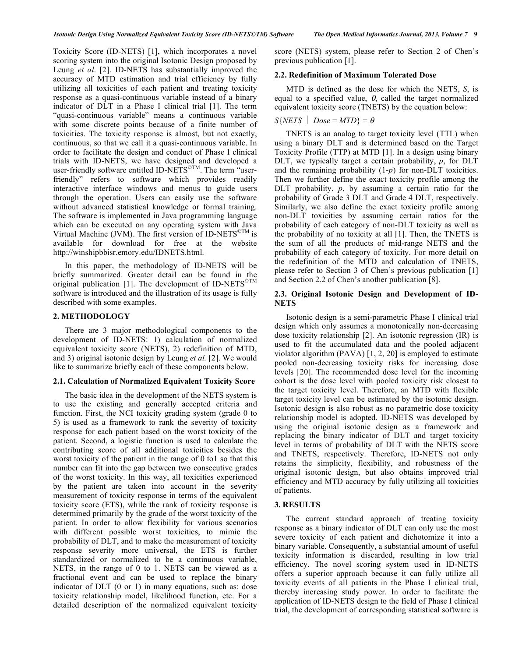Toxicity Score (ID-NETS) [1], which incorporates a novel scoring system into the original Isotonic Design proposed by Leung *et al*. [2]. ID-NETS has substantially improved the accuracy of MTD estimation and trial efficiency by fully utilizing all toxicities of each patient and treating toxicity response as a quasi-continuous variable instead of a binary indicator of DLT in a Phase I clinical trial [1]. The term "quasi-continuous variable" means a continuous variable with some discrete points because of a finite number of toxicities. The toxicity response is almost, but not exactly, continuous, so that we call it a quasi-continuous variable. In order to facilitate the design and conduct of Phase I clinical trials with ID-NETS, we have designed and developed a user-friendly software entitled ID-NETS<sup>©TM</sup>. The term "userfriendly" refers to software which provides readily interactive interface windows and menus to guide users through the operation. Users can easily use the software without advanced statistical knowledge or formal training. The software is implemented in Java programming language which can be executed on any operating system with Java Virtual Machine (JVM). The first version of ID-NETS<sup>©TM</sup> is available for download for free at the website http://winshipbbisr.emory.edu/IDNETS.html.

 In this paper, the methodology of ID-NETS will be briefly summarized. Greater detail can be found in the original publication [1]. The development of ID-NETS<sup>©TM</sup> software is introduced and the illustration of its usage is fully described with some examples.

#### **2. METHODOLOGY**

 There are 3 major methodological components to the development of ID-NETS: 1) calculation of normalized equivalent toxicity score (NETS), 2) redefinition of MTD, and 3) original isotonic design by Leung *et al.* [2]. We would like to summarize briefly each of these components below.

#### **2.1. Calculation of Normalized Equivalent Toxicity Score**

 The basic idea in the development of the NETS system is to use the existing and generally accepted criteria and function. First, the NCI toxicity grading system (grade 0 to 5) is used as a framework to rank the severity of toxicity response for each patient based on the worst toxicity of the patient. Second, a logistic function is used to calculate the contributing score of all additional toxicities besides the worst toxicity of the patient in the range of 0 to1 so that this number can fit into the gap between two consecutive grades of the worst toxicity. In this way, all toxicities experienced by the patient are taken into account in the severity measurement of toxicity response in terms of the equivalent toxicity score (ETS), while the rank of toxicity response is determined primarily by the grade of the worst toxicity of the patient. In order to allow flexibility for various scenarios with different possible worst toxicities, to mimic the probability of DLT, and to make the measurement of toxicity response severity more universal, the ETS is further standardized or normalized to be a continuous variable, NETS, in the range of 0 to 1. NETS can be viewed as a fractional event and can be used to replace the binary indicator of DLT (0 or 1) in many equations, such as: dose toxicity relationship model, likelihood function, etc. For a detailed description of the normalized equivalent toxicity

score (NETS) system, please refer to Section 2 of Chen's previous publication [1].

#### **2.2. Redefinition of Maximum Tolerated Dose**

 MTD is defined as the dose for which the NETS, *S*, is equal to a specified value,  $\theta$ , called the target normalized equivalent toxicity score (TNETS) by the equation below:

## $S\{NETS \mid Does = MTD\} = \theta$

 TNETS is an analog to target toxicity level (TTL) when using a binary DLT and is determined based on the Target Toxicity Profile (TTP) at MTD [1]. In a design using binary DLT, we typically target a certain probability, *p*, for DLT and the remaining probability (1-*p*) for non-DLT toxicities. Then we further define the exact toxicity profile among the DLT probability, *p*, by assuming a certain ratio for the probability of Grade 3 DLT and Grade 4 DLT, respectively. Similarly, we also define the exact toxicity profile among non-DLT toxicities by assuming certain ratios for the probability of each category of non-DLT toxicity as well as the probability of no toxicity at all [1]. Then, the TNETS is the sum of all the products of mid-range NETS and the probability of each category of toxicity. For more detail on the redefinition of the MTD and calculation of TNETS, please refer to Section 3 of Chen's previous publication [1] and Section 2.2 of Chen's another publication [8].

#### **2.3. Original Isotonic Design and Development of ID-NETS**

 Isotonic design is a semi-parametric Phase I clinical trial design which only assumes a monotonically non-decreasing dose toxicity relationship [2]. An isotonic regression (IR) is used to fit the accumulated data and the pooled adjacent violator algorithm (PAVA) [1, 2, 20] is employed to estimate pooled non-decreasing toxicity risks for increasing dose levels [20]. The recommended dose level for the incoming cohort is the dose level with pooled toxicity risk closest to the target toxicity level. Therefore, an MTD with flexible target toxicity level can be estimated by the isotonic design. Isotonic design is also robust as no parametric dose toxicity relationship model is adopted. ID-NETS was developed by using the original isotonic design as a framework and replacing the binary indicator of DLT and target toxicity level in terms of probability of DLT with the NETS score and TNETS, respectively. Therefore, ID-NETS not only retains the simplicity, flexibility, and robustness of the original isotonic design, but also obtains improved trial efficiency and MTD accuracy by fully utilizing all toxicities of patients.

#### **3. RESULTS**

 The current standard approach of treating toxicity response as a binary indicator of DLT can only use the most severe toxicity of each patient and dichotomize it into a binary variable. Consequently, a substantial amount of useful toxicity information is discarded, resulting in low trial efficiency. The novel scoring system used in ID-NETS offers a superior approach because it can fully utilize all toxicity events of all patients in the Phase I clinical trial, thereby increasing study power. In order to facilitate the application of ID-NETS design to the field of Phase I clinical trial, the development of corresponding statistical software is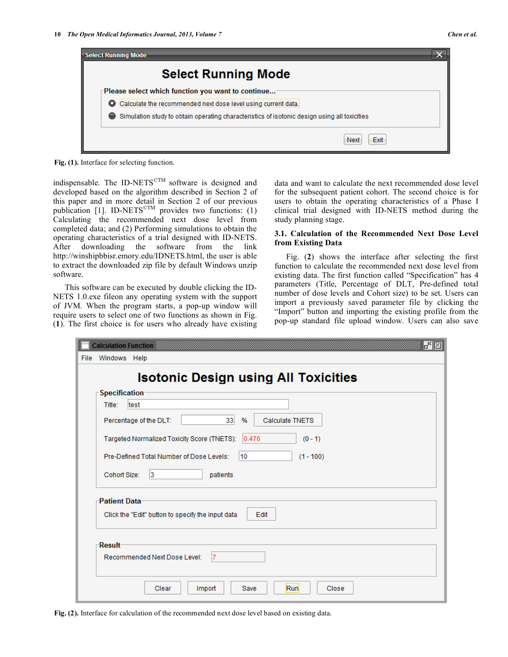

**Fig. (1).** Interface for selecting function.

indispensable. The ID-NETS<sup> $\textdegree$ TM</sup> software is designed and developed based on the algorithm described in Section 2 of this paper and in more detail in Section 2 of our previous publication [1]. ID-NETS<sup>©TM</sup> provides two functions: (1) Calculating the recommended next dose level from completed data; and (2) Performing simulations to obtain the operating characteristics of a trial designed with ID-NETS. After downloading the software from the link http://winshipbbisr.emory.edu/IDNETS.html, the user is able to extract the downloaded zip file by default Windows unzip software.

 This software can be executed by double clicking the ID-NETS 1.0.exe fileon any operating system with the support of JVM. When the program starts, a pop-up window will require users to select one of two functions as shown in Fig. (**1**). The first choice is for users who already have existing

data and want to calculate the next recommended dose level for the subsequent patient cohort. The second choice is for users to obtain the operating characteristics of a Phase I clinical trial designed with ID-NETS method during the study planning stage.

## **3.1. Calculation of the Recommended Next Dose Level from Existing Data**

 Fig. (**2**) shows the interface after selecting the first function to calculate the recommended next dose level from existing data. The first function called "Specification" has 4 parameters (Title, Percentage of DLT, Pre-defined total number of dose levels and Cohort size) to be set. Users can import a previously saved parameter file by clicking the "Import" button and importing the existing profile from the pop-up standard file upload window. Users can also save

|      |                     | Calculation Function $\mathbb{S}$<br>re                                              |
|------|---------------------|--------------------------------------------------------------------------------------|
| File | Windows Help        |                                                                                      |
|      |                     | <b>Isotonic Design using All Toxicities</b>                                          |
|      | Specification       |                                                                                      |
|      | Title:              | test                                                                                 |
|      |                     | 33 <sup>1</sup><br><b>Calculate TNETS</b><br>Percentage of the DLT:<br>$\frac{9}{6}$ |
|      |                     | Targeted Normalized Toxicity Score (TNETS):<br>0.476<br>$(0 - 1)$                    |
|      |                     | Pre-Defined Total Number of Dose Levels:<br>10<br>$(1 - 100)$                        |
|      | Cohort Size:        | 13<br>patients                                                                       |
|      | <b>Patient Data</b> |                                                                                      |
|      |                     | Click the "Edit" button to specify the input data<br>Edit                            |
|      |                     |                                                                                      |
|      | Result              |                                                                                      |
|      |                     |                                                                                      |
|      |                     | 17<br>Recommended Next Dose Level:                                                   |
|      |                     |                                                                                      |
|      |                     | Run<br>Clear<br>Import<br>Close<br>Save                                              |
|      |                     |                                                                                      |

**Fig. (2).** Interface for calculation of the recommended next dose level based on existing data.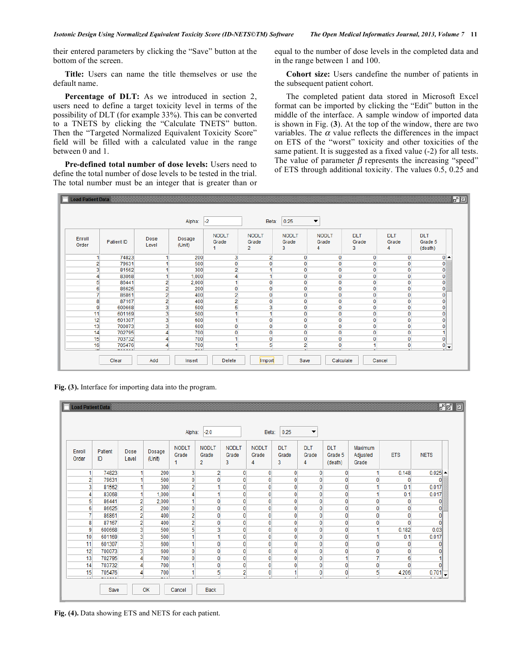their entered parameters by clicking the "Save" button at the bottom of the screen.

 **Title:** Users can name the title themselves or use the default name.

 **Percentage of DLT:** As we introduced in section 2, users need to define a target toxicity level in terms of the possibility of DLT (for example 33%). This can be converted to a TNETS by clicking the "Calculate TNETS" button. Then the "Targeted Normalized Equivalent Toxicity Score" field will be filled with a calculated value in the range between 0 and 1.

 **Pre-defined total number of dose levels:** Users need to define the total number of dose levels to be tested in the trial. The total number must be an integer that is greater than or equal to the number of dose levels in the completed data and in the range between 1 and 100.

 **Cohort size:** Users candefine the number of patients in the subsequent patient cohort.

 The completed patient data stored in Microsoft Excel format can be imported by clicking the "Edit" button in the middle of the interface. A sample window of imported data is shown in Fig. (**3**). At the top of the window, there are two variables. The  $\alpha$  value reflects the differences in the impact on ETS of the "worst" toxicity and other toxicities of the same patient. It is suggested as a fixed value (-2) for all tests. The value of parameter  $\beta$  represents the increasing "speed" of ETS through additional toxicity. The values 0.5, 0.25 and



**Fig. (3).** Interface for importing data into the program.

|                 |               |                         |                  | Alpha:                     | $-2.0$                                  |                            | Beta:                      | 0.25                     | $\blacktriangledown$     |                                  |                              |              |                                   |
|-----------------|---------------|-------------------------|------------------|----------------------------|-----------------------------------------|----------------------------|----------------------------|--------------------------|--------------------------|----------------------------------|------------------------------|--------------|-----------------------------------|
| Enroll<br>Order | Patient<br>ID | Dose<br>Level           | Dosage<br>(Unit) | <b>NODLT</b><br>Grade<br>1 | <b>NODLT</b><br>Grade<br>$\overline{2}$ | <b>NODLT</b><br>Grade<br>3 | <b>NODLT</b><br>Grade<br>4 | <b>DLT</b><br>Grade<br>3 | <b>DLT</b><br>Grade<br>4 | <b>DLT</b><br>Grade 5<br>(death) | Maximum<br>Adjusted<br>Grade | <b>ETS</b>   | <b>NETS</b>                       |
| 1               | 74823         |                         | 200              | 3                          | $\overline{2}$                          | $\mathbf{0}$               | $\mathbf{0}$               | $\mathbf{0}$             | $\mathbf{0}$             | $\mathbf{0}$                     | 1                            | 0.148        | $0.025$ $\sim$                    |
| $\overline{2}$  | 79631         |                         | 500              | $\mathbf{0}$               | $\mathbf{0}$                            | 0                          | $\mathbf{0}$               | $\mathbf{0}$             | 0                        | 0                                | 0                            | 0            |                                   |
| 3               | 81562         |                         | 300              | $\overline{2}$             |                                         | $\mathbf{0}$               | $\mathbf{0}$               | $\mathbf{0}$             | $\mathbf{0}$             | 0                                |                              | 0.1          | 0.017                             |
| 4               | 83068         |                         | 1,000            | 4                          |                                         | 0                          | $\mathbf{0}$               | 0                        | $\mathbf{0}$             | 0                                | 4                            | 0.1          | 0.017                             |
| 5               | 86441         | $\overline{2}$          | 2,000            | 1                          | $\mathbf{0}$                            | $\mathbf{0}$               | $\mathbf{0}$               | $\mathbf{0}$             | $\mathbf 0$              | 0                                | 0                            | 0            | 0                                 |
| 6               | 86625         | $\overline{2}$          | 200              | $\overline{0}$             | 0                                       | $\mathbf{0}$               | $\overline{0}$             | $\mathbf{0}$             | $\mathbf{0}$             | 0                                | 0                            | $\mathbf{0}$ | 0                                 |
| 7               | 86861         | $\overline{2}$          | 400              | 2                          | $\mathbf{0}$                            | $\mathbf{0}$               | $\overline{0}$             | $\mathbf{0}$             | 0                        | 0                                | 0                            | 0            | 0                                 |
| 8               | 87167         | $\overline{2}$          | 400              | $\overline{2}$             | $\mathbf{0}$                            | 0                          | $\mathbf{0}$               | $\mathbf{0}$             | $\mathbf{0}$             | 0                                | 0                            | $\mathbf{0}$ | 0                                 |
| 9               | 600668        | 3                       | 500              | 5                          | 3                                       | 0                          | 0                          | 0                        | 0                        | 0                                | 4                            | 0.182        | 0.03                              |
| 10              | 601169        | 3                       | 500              | 1                          |                                         | $\mathbf{0}$               | $\mathbf{0}$               | 0                        | $\mathbf{0}$             | 0                                |                              | 0.1          | 0.017                             |
| 11              | 601307        | $\overline{3}$          | 600              | 1                          | $\mathbf{0}$                            | $\mathbf{0}$               | $\mathbf{0}$               | $\mathbf{0}$             | $\mathbf{0}$             | 0                                | 0                            | 0            |                                   |
| 12              | 700073        | $\overline{\mathbf{3}}$ | 600              | 0                          | $\mathbf{0}$                            | 0                          | $\overline{0}$             | $\mathbf{0}$             | 0                        | 0                                | 0                            | 0            | 0                                 |
| 13              | 702795        | Δ                       | 700              | $\mathbf{0}$               | $\mathbf{0}$                            | $\mathbf{0}$               | $\mathbf{0}$               | $\mathbf{0}$             | $\mathbf{0}$             |                                  | 7                            | 6            | 4                                 |
| 14              | 703732        |                         | 700              | 1                          | $\mathbf{0}$                            | 0                          | 0                          | 0                        | 0                        | 0                                | 0                            | 0            | 0                                 |
| 15              | 705476        |                         | 700              | 1                          | 5                                       | $\overline{a}$             | 0                          |                          | $\mathbf{0}$             | 0                                | 5                            | 4.206        | 0.701<br>$\overline{\phantom{a}}$ |
|                 | Save          |                         | OK               | Cancel                     | <b>Back</b>                             |                            |                            |                          |                          |                                  |                              |              |                                   |

**Fig. (4).** Data showing ETS and NETS for each patient.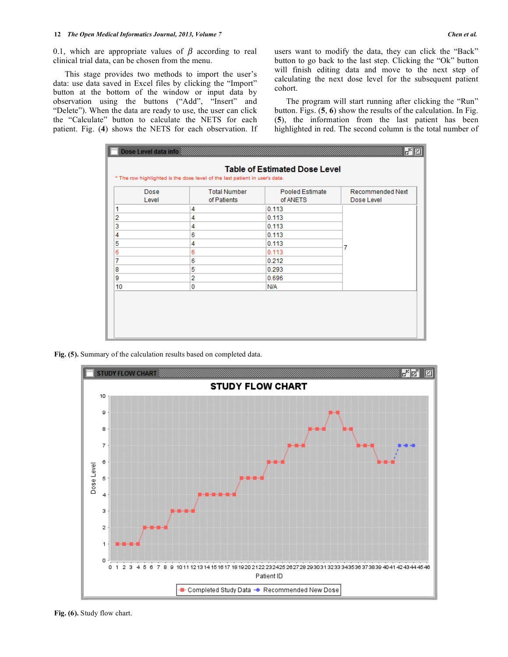0.1, which are appropriate values of  $\beta$  according to real clinical trial data, can be chosen from the menu.

 This stage provides two methods to import the user's data: use data saved in Excel files by clicking the "Import" button at the bottom of the window or input data by observation using the buttons ("Add", "Insert" and "Delete"). When the data are ready to use, the user can click the "Calculate" button to calculate the NETS for each patient. Fig. (**4**) shows the NETS for each observation. If users want to modify the data, they can click the "Back" button to go back to the last step. Clicking the "Ok" button will finish editing data and move to the next step of calculating the next dose level for the subsequent patient cohort.

 The program will start running after clicking the "Run" button. Figs. (**5**, **6**) show the results of the calculation. In Fig. (**5**), the information from the last patient has been highlighted in red. The second column is the total number of

| Dose<br>Level | <b>Total Number</b><br>of Patients | <b>Pooled Estimate</b><br>of ANETS | <b>Recommended Next</b><br>Dose Level |  |  |
|---------------|------------------------------------|------------------------------------|---------------------------------------|--|--|
| 1             | 4                                  | 0.113                              |                                       |  |  |
| 2             | 4                                  | 0.113                              |                                       |  |  |
| 3             | 4                                  | 0.113                              |                                       |  |  |
| 4             | 6                                  | 0.113                              |                                       |  |  |
| 5             | 4                                  | 0.113                              |                                       |  |  |
| 6             | 6                                  | 0.113                              | 7                                     |  |  |
| 7             | 6                                  | 0.212                              |                                       |  |  |
| 8             | 5                                  | 0.293                              |                                       |  |  |
| 9             | $\overline{2}$                     | 0.696                              |                                       |  |  |
| 10            | 0                                  | N/A                                |                                       |  |  |

**Fig. (5).** Summary of the calculation results based on completed data.



**Fig. (6).** Study flow chart.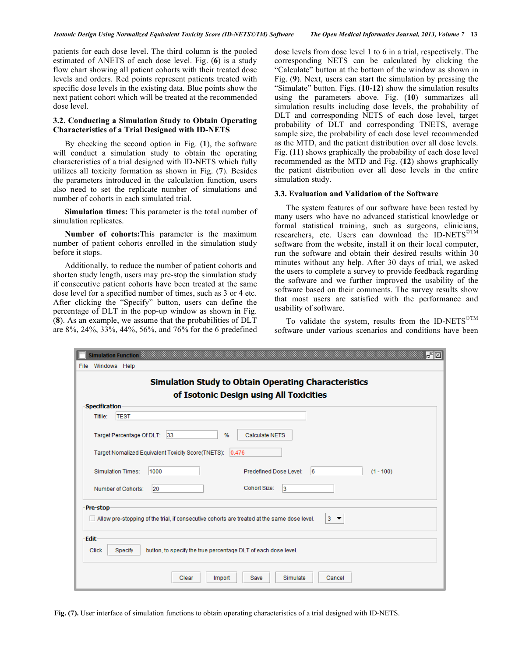patients for each dose level. The third column is the pooled estimated of ANETS of each dose level. Fig. (**6**) is a study flow chart showing all patient cohorts with their treated dose levels and orders. Red points represent patients treated with specific dose levels in the existing data. Blue points show the next patient cohort which will be treated at the recommended dose level.

### **3.2. Conducting a Simulation Study to Obtain Operating Characteristics of a Trial Designed with ID-NETS**

 By checking the second option in Fig. (**1**), the software will conduct a simulation study to obtain the operating characteristics of a trial designed with ID-NETS which fully utilizes all toxicity formation as shown in Fig. (**7**). Besides the parameters introduced in the calculation function, users also need to set the replicate number of simulations and number of cohorts in each simulated trial.

 **Simulation times:** This parameter is the total number of simulation replicates.

 **Number of cohorts:**This parameter is the maximum number of patient cohorts enrolled in the simulation study before it stops.

 Additionally, to reduce the number of patient cohorts and shorten study length, users may pre-stop the simulation study if consecutive patient cohorts have been treated at the same dose level for a specified number of times, such as 3 or 4 etc. After clicking the "Specify" button, users can define the percentage of DLT in the pop-up window as shown in Fig. (**8**). As an example, we assume that the probabilities of DLT are 8%, 24%, 33%, 44%, 56%, and 76% for the 6 predefined

dose levels from dose level 1 to 6 in a trial, respectively. The corresponding NETS can be calculated by clicking the "Calculate" button at the bottom of the window as shown in Fig. (**9**). Next, users can start the simulation by pressing the "Simulate" button. Figs. (**10-12**) show the simulation results using the parameters above. Fig. (**10**) summarizes all simulation results including dose levels, the probability of DLT and corresponding NETS of each dose level, target probability of DLT and corresponding TNETS, average sample size, the probability of each dose level recommended as the MTD, and the patient distribution over all dose levels. Fig. (**11**) shows graphically the probability of each dose level recommended as the MTD and Fig. (**12**) shows graphically the patient distribution over all dose levels in the entire simulation study.

#### **3.3. Evaluation and Validation of the Software**

 The system features of our software have been tested by many users who have no advanced statistical knowledge or formal statistical training, such as surgeons, clinicians, researchers, etc. Users can download the ID-NETS<sup>©TM</sup> software from the website, install it on their local computer, run the software and obtain their desired results within 30 minutes without any help. After 30 days of trial, we asked the users to complete a survey to provide feedback regarding the software and we further improved the usability of the software based on their comments. The survey results show that most users are satisfied with the performance and usability of software.

To validate the system, results from the ID-NETS<sup>©TM</sup> software under various scenarios and conditions have been

| r. e<br><b>Simulation Function</b>                                                                                  |  |  |  |  |  |  |  |  |
|---------------------------------------------------------------------------------------------------------------------|--|--|--|--|--|--|--|--|
| Windows Help<br>File                                                                                                |  |  |  |  |  |  |  |  |
| <b>Simulation Study to Obtain Operating Characteristics</b><br>of Isotonic Design using All Toxicities              |  |  |  |  |  |  |  |  |
| <b>Specification</b>                                                                                                |  |  |  |  |  |  |  |  |
| <b>TEST</b><br>Titile:                                                                                              |  |  |  |  |  |  |  |  |
| Target Percentage Of DLT: 33<br>%<br>Calculate NETS<br>Target Nomalized Equivalent Toxicity Score(TNETS):<br> 0.476 |  |  |  |  |  |  |  |  |
| $\overline{6}$<br>Predefined Dose Level:<br>Simulation Times:<br>1000<br>$(1 - 100)$                                |  |  |  |  |  |  |  |  |
| Cohort Size:<br>13<br>Number of Cohorts:<br>20                                                                      |  |  |  |  |  |  |  |  |
| Pre-stop<br>Allow pre-stopping of the trial, if consecutive cohorts are treated at the same dose level.<br>$3 -$    |  |  |  |  |  |  |  |  |
| Edit<br>button, to specify the true percentage DLT of each dose level.<br><b>Click</b><br>Specify                   |  |  |  |  |  |  |  |  |
| Simulate<br>Clear<br>Import<br>Save<br>Cancel                                                                       |  |  |  |  |  |  |  |  |

**Fig. (7).** User interface of simulation functions to obtain operating characteristics of a trial designed with ID-NETS.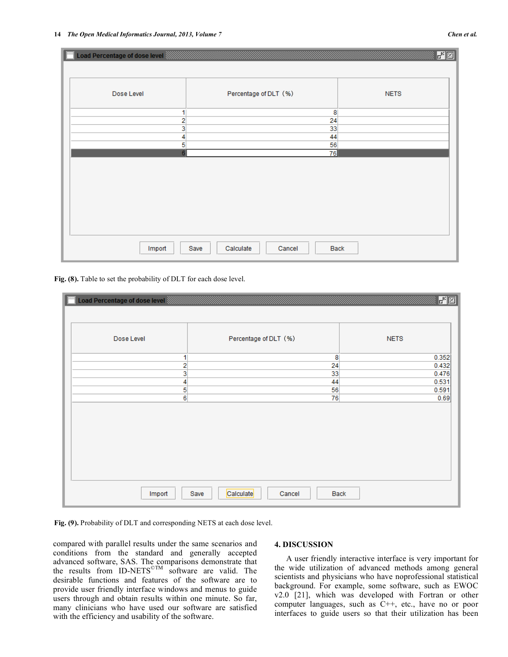## 超习 Load Percentage of dose level Dose Level Percentage of DLT (%) **NETS** 1 8  $\overline{2}$ 24 3 33  $\overline{4}$ 44  $\overline{5}$ 56 76 Import Save Calculate Cancel **Back**

Fig. (8). Table to set the probability of DLT for each dose level.

| Load Percentage of dose level |                                     | $r^2$ $\boxtimes$ |
|-------------------------------|-------------------------------------|-------------------|
| Dose Level                    | Percentage of DLT (%)               | <b>NETS</b>       |
| 1                             | 8                                   | 0.352             |
| 2                             | 24                                  | 0.432             |
| 3                             | 33                                  | 0.476             |
| 4                             | 44                                  | 0.531             |
| 5                             | 56                                  | 0.591             |
| $6 \overline{6}$              | 76                                  | 0.69              |
|                               |                                     |                   |
| Import                        | Calculate<br>Save<br>Back<br>Cancel |                   |

**Fig. (9).** Probability of DLT and corresponding NETS at each dose level.

compared with parallel results under the same scenarios and conditions from the standard and generally accepted advanced software, SAS. The comparisons demonstrate that the results from ID-NETS©TM software are valid. The desirable functions and features of the software are to provide user friendly interface windows and menus to guide users through and obtain results within one minute. So far, many clinicians who have used our software are satisfied with the efficiency and usability of the software.

#### **4. DISCUSSION**

 A user friendly interactive interface is very important for the wide utilization of advanced methods among general scientists and physicians who have noprofessional statistical background. For example, some software, such as EWOC v2.0 [21], which was developed with Fortran or other computer languages, such as C++, etc., have no or poor interfaces to guide users so that their utilization has been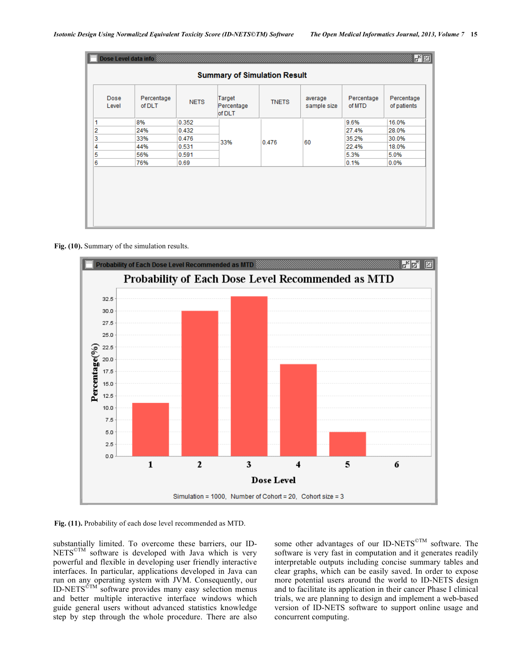| Dose Level data info<br>國國          |                      |             |                                |              |                        |                      |                           |  |  |
|-------------------------------------|----------------------|-------------|--------------------------------|--------------|------------------------|----------------------|---------------------------|--|--|
| <b>Summary of Simulation Result</b> |                      |             |                                |              |                        |                      |                           |  |  |
| Dose<br>Level                       | Percentage<br>of DLT | <b>NETS</b> | Target<br>Percentage<br>of DLT | <b>TNETS</b> | average<br>sample size | Percentage<br>of MTD | Percentage<br>of patients |  |  |
| 1                                   | 8%                   | 0.352       |                                | 0.476        | 60                     | 9.6%                 | 16.0%                     |  |  |
| 2                                   | 24%                  | 0.432       |                                |              |                        | 27.4%                | 28.0%                     |  |  |
| 3                                   | 33%                  | 0.476       |                                |              |                        | 35.2%                | 30.0%                     |  |  |
| 4                                   | 44%                  | 0.531       | 33%                            |              |                        | 22.4%                | 18.0%                     |  |  |
| 5                                   | 56%                  | 0.591       |                                |              |                        | 5.3%                 | 5.0%                      |  |  |
| 6                                   | 76%                  | 0.69        |                                |              |                        | 0.1%                 | 0.0%                      |  |  |
|                                     |                      |             |                                |              |                        |                      |                           |  |  |

## **Fig. (10).** Summary of the simulation results.



**Fig. (11).** Probability of each dose level recommended as MTD.

substantially limited. To overcome these barriers, our ID-NETS<sup>©TM</sup> software is developed with Java which is very powerful and flexible in developing user friendly interactive interfaces. In particular, applications developed in Java can run on any operating system with JVM. Consequently, our ID-NETS<sup>©TM</sup> software provides many easy selection menus and better multiple interactive interface windows which guide general users without advanced statistics knowledge step by step through the whole procedure. There are also

some other advantages of our ID-NETS<sup>©TM</sup> software. The software is very fast in computation and it generates readily interpretable outputs including concise summary tables and clear graphs, which can be easily saved. In order to expose more potential users around the world to ID-NETS design and to facilitate its application in their cancer Phase I clinical trials, we are planning to design and implement a web-based version of ID-NETS software to support online usage and concurrent computing.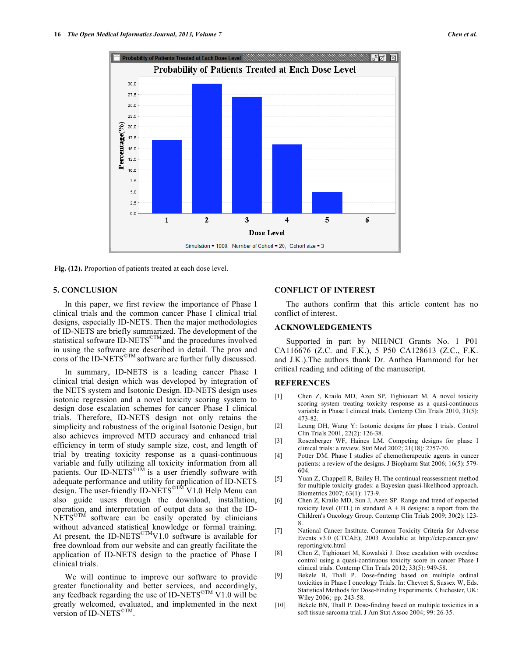

**Fig. (12).** Proportion of patients treated at each dose level.

#### **5. CONCLUSION**

 In this paper, we first review the importance of Phase I clinical trials and the common cancer Phase I clinical trial designs, especially ID-NETS. Then the major methodologies of ID-NETS are briefly summarized. The development of the statistical software ID-NETS<sup>©TM</sup> and the procedures involved in using the software are described in detail. The pros and cons of the ID-NETS©TM software are further fully discussed.

 In summary, ID-NETS is a leading cancer Phase I clinical trial design which was developed by integration of the NETS system and Isotonic Design. ID-NETS design uses isotonic regression and a novel toxicity scoring system to design dose escalation schemes for cancer Phase I clinical trials. Therefore, ID-NETS design not only retains the simplicity and robustness of the original Isotonic Design, but also achieves improved MTD accuracy and enhanced trial efficiency in term of study sample size, cost, and length of trial by treating toxicity response as a quasi-continuous variable and fully utilizing all toxicity information from all patients. Our ID-NETS<sup> $\text{CTM}$ </sup> is a user friendly software with adequate performance and utility for application of ID-NETS design. The user-friendly ID-NETS<sup>©TM</sup> V1.0 Help Menu can also guide users through the download, installation, operation, and interpretation of output data so that the ID-NETS©TM software can be easily operated by clinicians without advanced statistical knowledge or formal training. At present, the ID-NETS<sup>©TM</sup>V1.0 software is available for free download from our website and can greatly facilitate the application of ID-NETS design to the practice of Phase I clinical trials.

 We will continue to improve our software to provide greater functionality and better services, and accordingly, any feedback regarding the use of ID-NETS<sup>©TM</sup> V1.0 will be greatly welcomed, evaluated, and implemented in the next version of ID-NETS©TM.

#### **CONFLICT OF INTEREST**

 The authors confirm that this article content has no conflict of interest.

#### **ACKNOWLEDGEMENTS**

 Supported in part by NIH/NCI Grants No. 1 P01 CA116676 (Z.C. and F.K.), 5 P50 CA128613 (Z.C., F.K. and J.K.).The authors thank Dr. Anthea Hammond for her critical reading and editing of the manuscript.

### **REFERENCES**

- [1] Chen Z, Krailo MD, Azen SP, Tighiouart M. A novel toxicity scoring system treating toxicity response as a quasi-continuous variable in Phase I clinical trials. Contemp Clin Trials 2010, 31(5): 473-82.
- [2] Leung DH, Wang Y: Isotonic designs for phase I trials. Control Clin Trials 2001, 22(2): 126-38.
- [3] Rosenberger WF, Haines LM. Competing designs for phase I clinical trials: a review. Stat Med 2002; 21(18): 2757-70.
- [4] Potter DM. Phase I studies of chemotherapeutic agents in cancer patients: a review of the designs. J Biopharm Stat 2006; 16(5): 579- 604.
- [5] Yuan Z, Chappell R, Bailey H. The continual reassessment method for multiple toxicity grades: a Bayesian quasi-likelihood approach. Biometrics 2007; 63(1): 173-9.
- [6] Chen Z, Krailo MD, Sun J, Azen SP. Range and trend of expected toxicity level (ETL) in standard  $A + B$  designs: a report from the Children's Oncology Group. Contemp Clin Trials 2009; 30(2): 123- 8.
- [7] National Cancer Institute. Common Toxicity Criteria for Adverse Events v3.0 (CTCAE); 2003 Available at http://ctep.cancer.gov/ reporting/ctc.html
- [8] Chen Z, Tighiouart M, Kowalski J. Dose escalation with overdose control using a quasi-continuous toxicity score in cancer Phase I clinical trials. Contemp Clin Trials 2012; 33(5): 949-58.
- [9] Bekele B, Thall P. Dose-finding based on multiple ordinal toxicities in Phase I oncology Trials. In: Chevret S, Sussex W, Eds. Statistical Methods for Dose-Finding Experiments. Chichester, UK: Wiley 2006; pp. 243-58.
- [10] Bekele BN, Thall P. Dose-finding based on multiple toxicities in a soft tissue sarcoma trial. J Am Stat Assoc 2004; 99: 26-35.